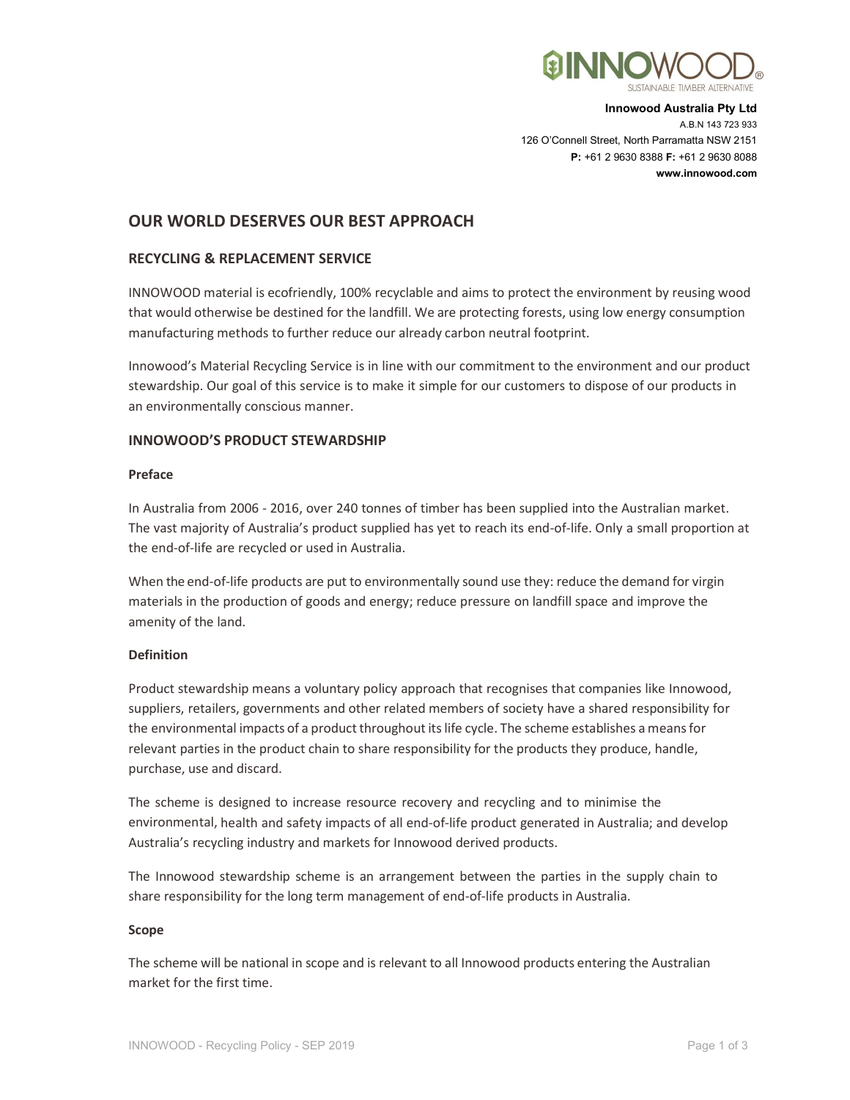

Innowood Australia Pty Ltd A.B.N 143 723 933 126 O'Connell Street, North Parramatta NSW 2151 P: +61 2 9630 8388 F: +61 2 9630 8088 www.innowood.com

# OUR WORLD DESERVES OUR BEST APPROACH

## RECYCLING & REPLACEMENT SERVICE

INNOWOOD material is ecofriendly, 100% recyclable and aims to protect the environment by reusing wood that would otherwise be destined for the landfill. We are protecting forests, using low energy consumption manufacturing methods to further reduce our already carbon neutral footprint.

Innowood's Material Recycling Service is in line with our commitment to the environment and our product stewardship. Our goal of this service is to make it simple for our customers to dispose of our products in an environmentally conscious manner.

### INNOWOOD'S PRODUCT STEWARDSHIP

### Preface

In Australia from 2006 - 2016, over 240 tonnes of timber has been supplied into the Australian market. The vast majority of Australia's product supplied has yet to reach its end-of-life. Only a small proportion at the end-of-life are recycled or used in Australia.

When the end-of-life products are put to environmentally sound use they: reduce the demand for virgin materials in the production of goods and energy; reduce pressure on landfill space and improve the amenity of the land.

### Definition

Product stewardship means a voluntary policy approach that recognises that companies like Innowood, suppliers, retailers, governments and other related members of society have a shared responsibility for the environmental impacts of a product throughout its life cycle. The scheme establishes a means for relevant parties in the product chain to share responsibility for the products they produce, handle, purchase, use and discard.

The scheme is designed to increase resource recovery and recycling and to minimise the environmental, health and safety impacts of all end-of-life product generated in Australia; and develop Australia's recycling industry and markets for Innowood derived products.

The Innowood stewardship scheme is an arrangement between the parties in the supply chain to share responsibility for the long term management of end-of-life products in Australia.

### Scope

The scheme will be national in scope and is relevant to all Innowood products entering the Australian market for the first time.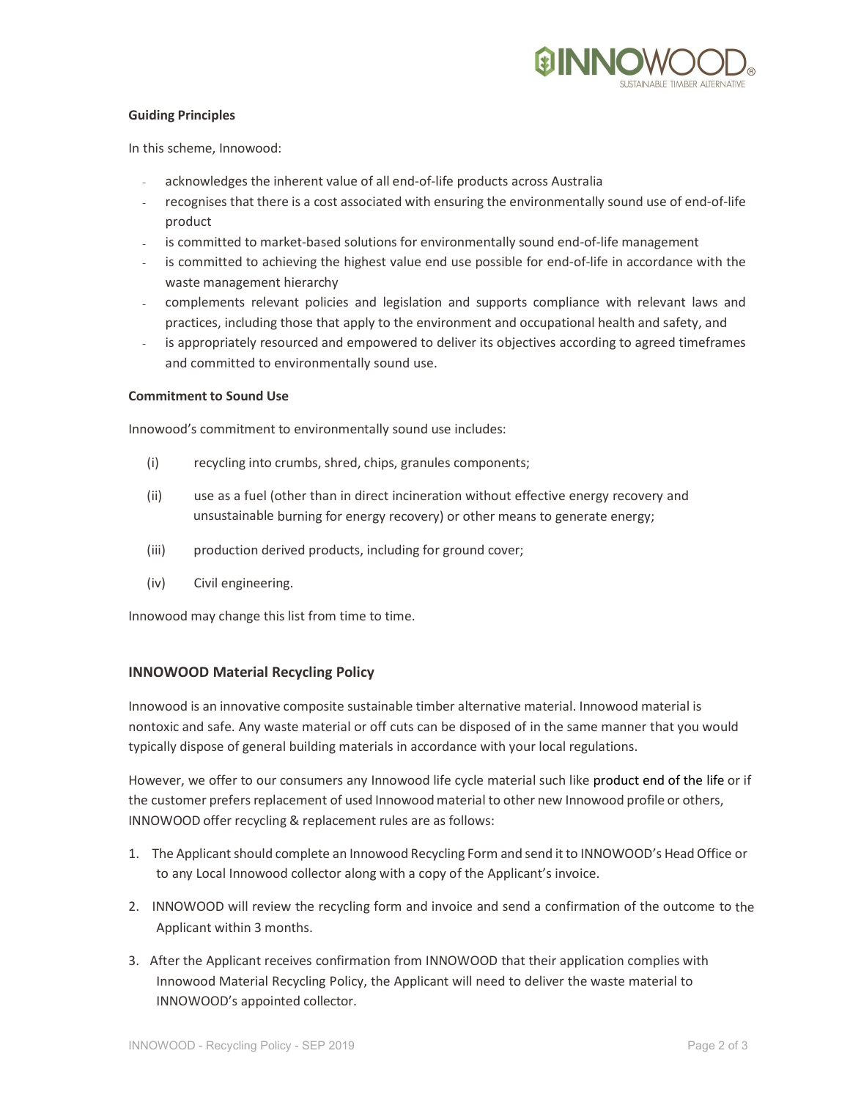

### Guiding Principles

In this scheme, Innowood:

- acknowledges the inherent value of all end-of-life products across Australia
- recognises that there is a cost associated with ensuring the environmentally sound use of end-of-life product
- is committed to market-based solutions for environmentally sound end-of-life management
- is committed to achieving the highest value end use possible for end-of-life in accordance with the waste management hierarchy
- complements relevant policies and legislation and supports compliance with relevant laws and practices, including those that apply to the environment and occupational health and safety, and
- is appropriately resourced and empowered to deliver its objectives according to agreed timeframes and committed to environmentally sound use.

#### Commitment to Sound Use

Innowood's commitment to environmentally sound use includes:

- (i) recycling into crumbs, shred, chips, granules components;
- (ii) use as a fuel (other than in direct incineration without effective energy recovery and unsustainable burning for energy recovery) or other means to generate energy;
- (iii) production derived products, including for ground cover;
- (iv) Civil engineering.

Innowood may change this list from time to time.

### INNOWOOD Material Recycling Policy

Innowood is an innovative composite sustainable timber alternative material. Innowood material is nontoxic and safe. Any waste material or off cuts can be disposed of in the same manner that you would typically dispose of general building materials in accordance with your local regulations.

However, we offer to our consumers any Innowood life cycle material such like product end of the life or if the customer prefers replacement of used Innowood material to other new Innowood profile or others, INNOWOOD offer recycling & replacement rules are as follows:

- 1. The Applicant should complete an Innowood Recycling Form and send it to INNOWOOD's Head Office or to any Local Innowood collector along with a copy of the Applicant's invoice.
- 2. INNOWOOD will review the recycling form and invoice and send a confirmation of the outcome to the Applicant within 3 months.
- 3. After the Applicant receives confirmation from INNOWOOD that their application complies with Innowood Material Recycling Policy, the Applicant will need to deliver the waste material to INNOWOOD's appointed collector.